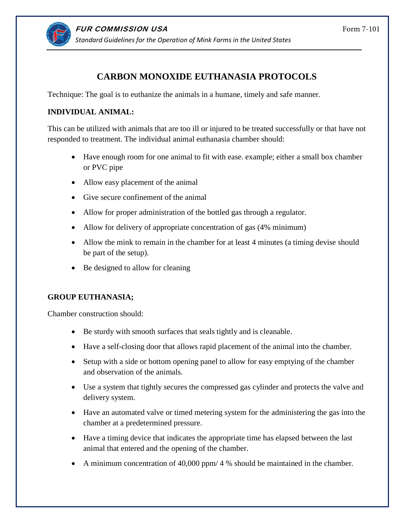

# **CARBON MONOXIDE EUTHANASIA PROTOCOLS**

Technique: The goal is to euthanize the animals in a humane, timely and safe manner.

## **INDIVIDUAL ANIMAL:**

This can be utilized with animals that are too ill or injured to be treated successfully or that have not responded to treatment. The individual animal euthanasia chamber should:

- Have enough room for one animal to fit with ease. example; either a small box chamber or PVC pipe
- Allow easy placement of the animal
- Give secure confinement of the animal
- Allow for proper administration of the bottled gas through a regulator.
- Allow for delivery of appropriate concentration of gas (4% minimum)
- Allow the mink to remain in the chamber for at least 4 minutes (a timing devise should be part of the setup).
- Be designed to allow for cleaning

## **GROUP EUTHANASIA;**

Chamber construction should:

- Be sturdy with smooth surfaces that seals tightly and is cleanable.
- Have a self-closing door that allows rapid placement of the animal into the chamber.
- Setup with a side or bottom opening panel to allow for easy emptying of the chamber and observation of the animals.
- Use a system that tightly secures the compressed gas cylinder and protects the valve and delivery system.
- Have an automated valve or timed metering system for the administering the gas into the chamber at a predetermined pressure.
- Have a timing device that indicates the appropriate time has elapsed between the last animal that entered and the opening of the chamber.
- A minimum concentration of 40,000 ppm/ 4 % should be maintained in the chamber.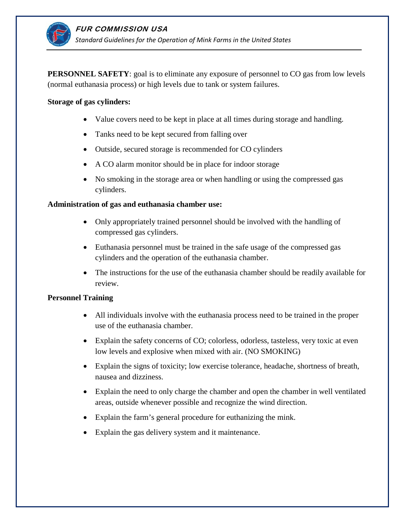

**PERSONNEL SAFETY**: goal is to eliminate any exposure of personnel to CO gas from low levels (normal euthanasia process) or high levels due to tank or system failures.

#### **Storage of gas cylinders:**

- Value covers need to be kept in place at all times during storage and handling.
- Tanks need to be kept secured from falling over
- Outside, secured storage is recommended for CO cylinders
- A CO alarm monitor should be in place for indoor storage
- No smoking in the storage area or when handling or using the compressed gas cylinders.

#### **Administration of gas and euthanasia chamber use:**

- Only appropriately trained personnel should be involved with the handling of compressed gas cylinders.
- Euthanasia personnel must be trained in the safe usage of the compressed gas cylinders and the operation of the euthanasia chamber.
- The instructions for the use of the euthanasia chamber should be readily available for review.

#### **Personnel Training**

- All individuals involve with the euthanasia process need to be trained in the proper use of the euthanasia chamber.
- Explain the safety concerns of CO; colorless, odorless, tasteless, very toxic at even low levels and explosive when mixed with air. (NO SMOKING)
- Explain the signs of toxicity; low exercise tolerance, headache, shortness of breath, nausea and dizziness.
- Explain the need to only charge the chamber and open the chamber in well ventilated areas, outside whenever possible and recognize the wind direction.
- Explain the farm's general procedure for euthanizing the mink.
- Explain the gas delivery system and it maintenance.